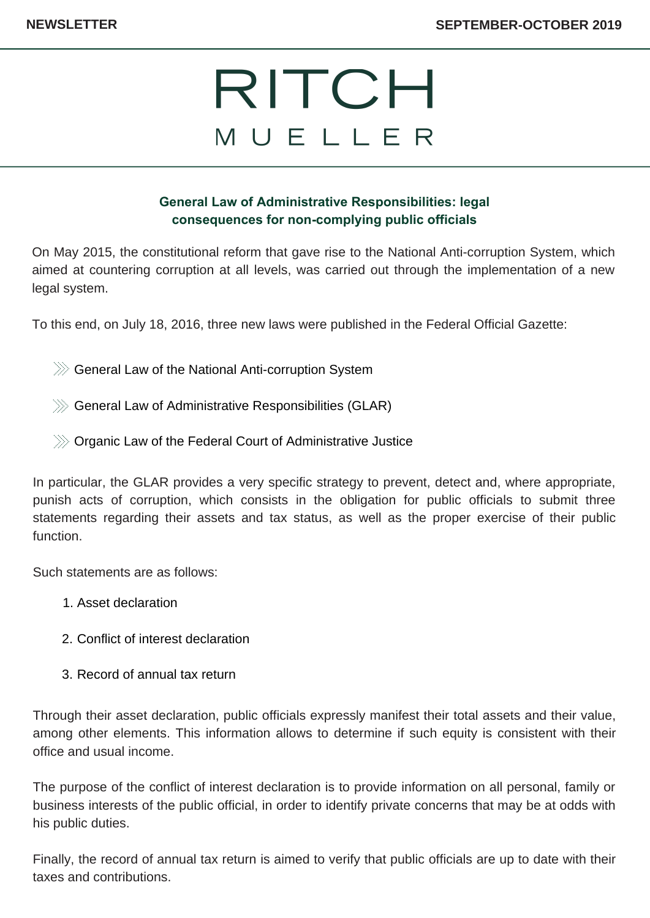### **General Law of Administrative Responsibilities: legal consequences for non-complying public officials**

On May 2015, the constitutional reform that gave rise to the National Anti-corruption System, which aimed at countering corruption at all levels, was carried out through the implementation of a new legal system.

To this end, on July 18, 2016, three new laws were published in the Federal Official Gazette:

 $\gg$  General Law of the National Anti-corruption System

- $\gg$  General Law of Administrative Responsibilities (GLAR)
- $\gg$  Organic Law of the Federal Court of Administrative Justice

In particular, the GLAR provides a very specific strategy to prevent, detect and, where appropriate, punish acts of corruption, which consists in the obligation for public officials to submit three statements regarding their assets and tax status, as well as the proper exercise of their public function.

Such statements are as follows:

- Asset declaration 1.
- 2. Conflict of interest declaration
- 3. Record of annual tax return

Through their asset declaration, public officials expressly manifest their total assets and their value, among other elements. This information allows to determine if such equity is consistent with their office and usual income.

The purpose of the conflict of interest declaration is to provide information on all personal, family or business interests of the public official, in order to identify private concerns that may be at odds with his public duties.

Finally, the record of annual tax return is aimed to verify that public officials are up to date with their taxes and contributions.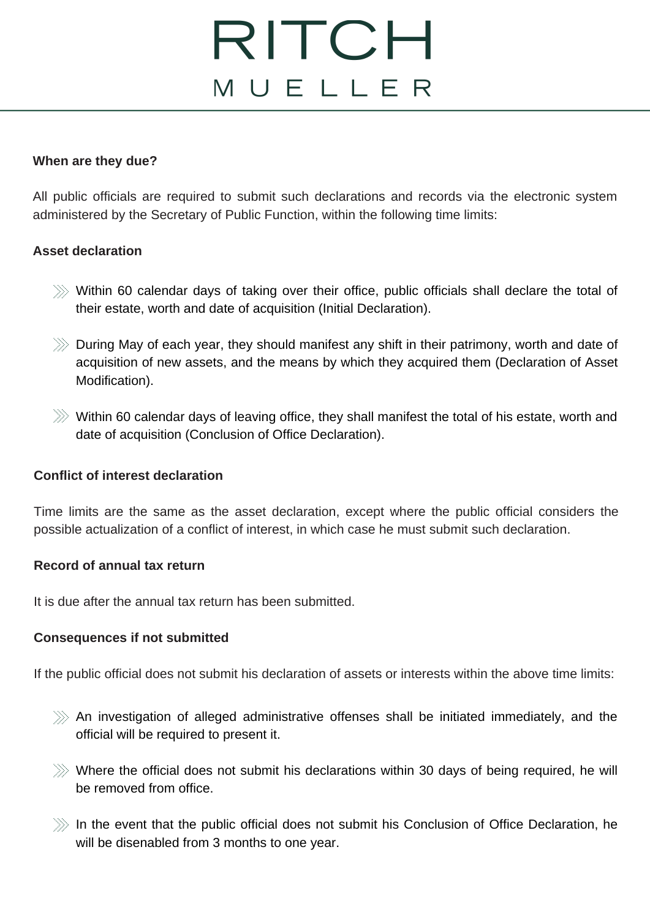### **When are they due?**

All public officials are required to submit such declarations and records via the electronic system administered by the Secretary of Public Function, within the following time limits:

### **Asset declaration**

- $\gg$  Within 60 calendar days of taking over their office, public officials shall declare the total of their estate, worth and date of acquisition (Initial Declaration).
- $\ggg$  During May of each year, they should manifest any shift in their patrimony, worth and date of acquisition of new assets, and the means by which they acquired them (Declaration of Asset Modification).
- $\gg$  Within 60 calendar days of leaving office, they shall manifest the total of his estate, worth and date of acquisition (Conclusion of Office Declaration).

### **Conflict of interest declaration**

Time limits are the same as the asset declaration, except where the public official considers the possible actualization of a conflict of interest, in which case he must submit such declaration.

#### **Record of annual tax return**

It is due after the annual tax return has been submitted.

### **Consequences if not submitted**

If the public official does not submit his declaration of assets or interests within the above time limits:

- $\gg$  An investigation of alleged administrative offenses shall be initiated immediately, and the official will be required to present it.
- $\gg$  Where the official does not submit his declarations within 30 days of being required, he will be removed from office.
- $\gg$  In the event that the public official does not submit his Conclusion of Office Declaration, he will be disenabled from 3 months to one year.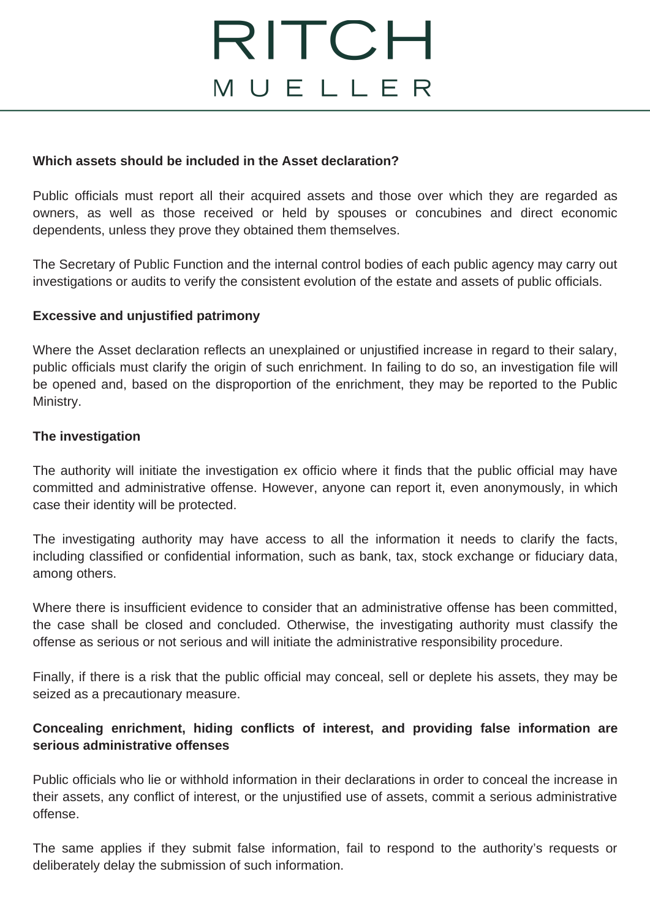### **Which assets should be included in the Asset declaration?**

Public officials must report all their acquired assets and those over which they are regarded as owners, as well as those received or held by spouses or concubines and direct economic dependents, unless they prove they obtained them themselves.

The Secretary of Public Function and the internal control bodies of each public agency may carry out investigations or audits to verify the consistent evolution of the estate and assets of public officials.

### **Excessive and unjustified patrimony**

Where the Asset declaration reflects an unexplained or unjustified increase in regard to their salary, public officials must clarify the origin of such enrichment. In failing to do so, an investigation file will be opened and, based on the disproportion of the enrichment, they may be reported to the Public Ministry.

#### **The investigation**

The authority will initiate the investigation ex officio where it finds that the public official may have committed and administrative offense. However, anyone can report it, even anonymously, in which case their identity will be protected.

The investigating authority may have access to all the information it needs to clarify the facts, including classified or confidential information, such as bank, tax, stock exchange or fiduciary data, among others.

Where there is insufficient evidence to consider that an administrative offense has been committed, the case shall be closed and concluded. Otherwise, the investigating authority must classify the offense as serious or not serious and will initiate the administrative responsibility procedure.

Finally, if there is a risk that the public official may conceal, sell or deplete his assets, they may be seized as a precautionary measure.

### **Concealing enrichment, hiding conflicts of interest, and providing false information are serious administrative offenses**

Public officials who lie or withhold information in their declarations in order to conceal the increase in their assets, any conflict of interest, or the unjustified use of assets, commit a serious administrative offense.

The same applies if they submit false information, fail to respond to the authority's requests or deliberately delay the submission of such information.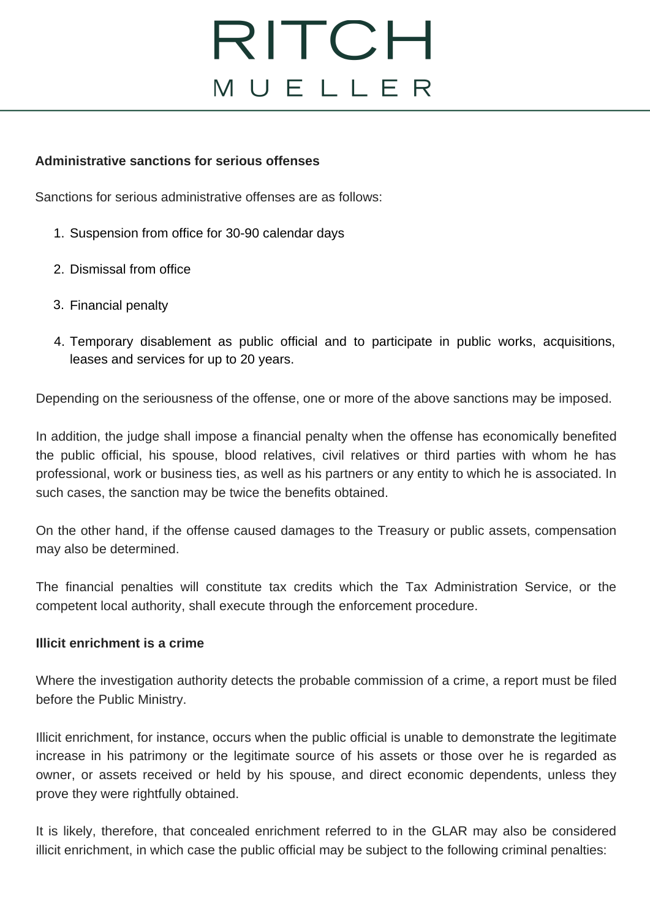### **Administrative sanctions for serious offenses**

Sanctions for serious administrative offenses are as follows:

- 1. Suspension from office for 30-90 calendar days
- 2. Dismissal from office
- 3. Financial penalty
- Temporary disablement as public official and to participate in public works, acquisitions, 4.leases and services for up to 20 years.

Depending on the seriousness of the offense, one or more of the above sanctions may be imposed.

In addition, the judge shall impose a financial penalty when the offense has economically benefited the public official, his spouse, blood relatives, civil relatives or third parties with whom he has professional, work or business ties, as well as his partners or any entity to which he is associated. In such cases, the sanction may be twice the benefits obtained.

On the other hand, if the offense caused damages to the Treasury or public assets, compensation may also be determined.

The financial penalties will constitute tax credits which the Tax Administration Service, or the competent local authority, shall execute through the enforcement procedure.

### **Illicit enrichment is a crime**

Where the investigation authority detects the probable commission of a crime, a report must be filed before the Public Ministry.

Illicit enrichment, for instance, occurs when the public official is unable to demonstrate the legitimate increase in his patrimony or the legitimate source of his assets or those over he is regarded as owner, or assets received or held by his spouse, and direct economic dependents, unless they prove they were rightfully obtained.

It is likely, therefore, that concealed enrichment referred to in the GLAR may also be considered illicit enrichment, in which case the public official may be subject to the following criminal penalties: